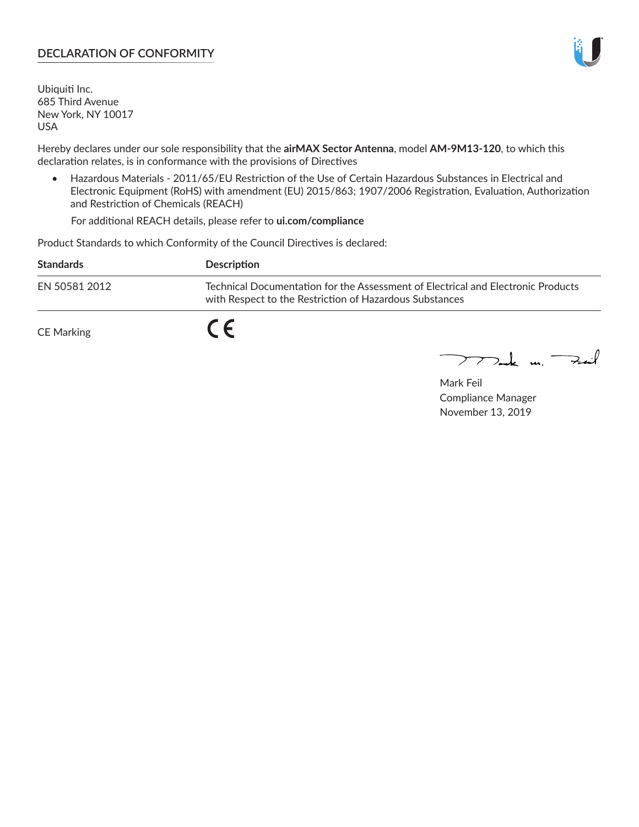## **DECLARATION OF CONFORMITY**

Ubiquiti Inc. 685 Third Avenue New York, NY 10017 USA

Hereby declares under our sole responsibility that the **airMAX Sector Antenna**, model **AM-9M13-120**, to which this declaration relates, is in conformance with the provisions of Directives

• Hazardous Materials - 2011/65/EU Restriction of the Use of Certain Hazardous Substances in Electrical and Electronic Equipment (RoHS) with amendment (EU) 2015/863; 1907/2006 Registration, Evaluation, Authorization and Restriction of Chemicals (REACH)

For additional REACH details, please refer to **ui.com/compliance**

Product Standards to which Conformity of the Council Directives is declared:

| <b>Standards</b> | <b>Description</b>                                                                                                                          |
|------------------|---------------------------------------------------------------------------------------------------------------------------------------------|
| EN 50581 2012    | Technical Documentation for the Assessment of Electrical and Electronic Products<br>with Respect to the Restriction of Hazardous Substances |
| CE Marking       |                                                                                                                                             |

 $\sum_{n=1}^{\infty}$  un  $\sum_{n=1}^{\infty}$ 

Mark Feil Compliance Manager November 13, 2019

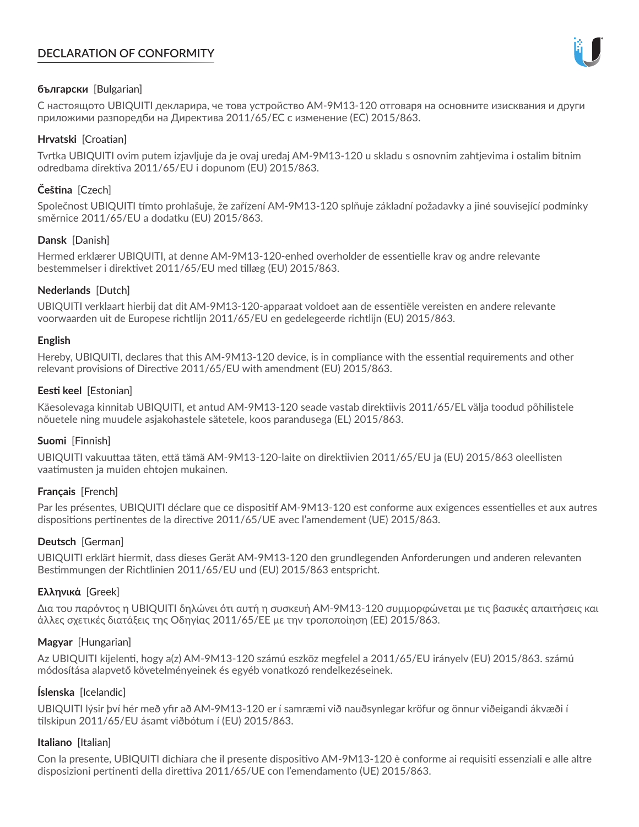# **DECLARATION OF CONFORMITY**



## **български** [Bulgarian]

С настоящото UBIQUITI декларира, че това устройство AM-9M13-120 отговаря на основните изисквания и други приложими разпоредби на Директива 2011/65/ЕС с изменение (ЕС) 2015/863.

## **Hrvatski** [Croatian]

Tvrtka UBIQUITI ovim putem izjavljuje da je ovaj uređaj AM-9M13-120 u skladu s osnovnim zahtjevima i ostalim bitnim odredbama direktiva 2011/65/EU i dopunom (EU) 2015/863.

# **Čeština** [Czech]

Společnost UBIQUITI tímto prohlašuje, že zařízení AM-9M13-120 splňuje základní požadavky a jiné související podmínky směrnice 2011/65/EU a dodatku (EU) 2015/863.

### **Dansk** [Danish]

Hermed erklærer UBIQUITI, at denne AM-9M13-120-enhed overholder de essentielle krav og andre relevante bestemmelser i direktivet 2011/65/EU med tillæg (EU) 2015/863.

### **Nederlands** [Dutch]

UBIQUITI verklaart hierbij dat dit AM-9M13-120-apparaat voldoet aan de essentiële vereisten en andere relevante voorwaarden uit de Europese richtlijn 2011/65/EU en gedelegeerde richtlijn (EU) 2015/863.

#### **English**

Hereby, UBIQUITI, declares that this AM-9M13-120 device, is in compliance with the essential requirements and other relevant provisions of Directive 2011/65/EU with amendment (EU) 2015/863.

### **Eesti keel** [Estonian]

Käesolevaga kinnitab UBIQUITI, et antud AM-9M13-120 seade vastab direktiivis 2011/65/EL välja toodud põhilistele nõuetele ning muudele asjakohastele sätetele, koos parandusega (EL) 2015/863.

## **Suomi** [Finnish]

UBIQUITI vakuuttaa täten, että tämä AM-9M13-120-laite on direktiivien 2011/65/EU ja (EU) 2015/863 oleellisten vaatimusten ja muiden ehtojen mukainen.

#### **Français** [French]

Par les présentes, UBIQUITI déclare que ce dispositif AM-9M13-120 est conforme aux exigences essentielles et aux autres dispositions pertinentes de la directive 2011/65/UE avec l'amendement (UE) 2015/863.

## **Deutsch** [German]

UBIQUITI erklärt hiermit, dass dieses Gerät AM-9M13-120 den grundlegenden Anforderungen und anderen relevanten Bestimmungen der Richtlinien 2011/65/EU und (EU) 2015/863 entspricht.

#### **Ελληνικά** [Greek]

Δια του παρόντος η UBIQUITI δηλώνει ότι αυτή η συσκευή AM-9M13-120 συμμορφώνεται με τις βασικές απαιτήσεις και άλλες σχετικές διατάξεις της Οδηγίας 2011/65/ΕΕ με την τροποποίηση (ΕΕ) 2015/863.

#### **Magyar** [Hungarian]

Az UBIQUITI kijelenti, hogy a(z) AM-9M13-120 számú eszköz megfelel a 2011/65/EU irányelv (EU) 2015/863. számú módosítása alapvető követelményeinek és egyéb vonatkozó rendelkezéseinek.

#### **Íslenska** [Icelandic]

UBIQUITI lýsir því hér með yfir að AM-9M13-120 er í samræmi við nauðsynlegar kröfur og önnur viðeigandi ákvæði í tilskipun 2011/65/EU ásamt viðbótum í (EU) 2015/863.

#### **Italiano** [Italian]

Con la presente, UBIQUITI dichiara che il presente dispositivo AM-9M13-120 è conforme ai requisiti essenziali e alle altre disposizioni pertinenti della direttiva 2011/65/UE con l'emendamento (UE) 2015/863.